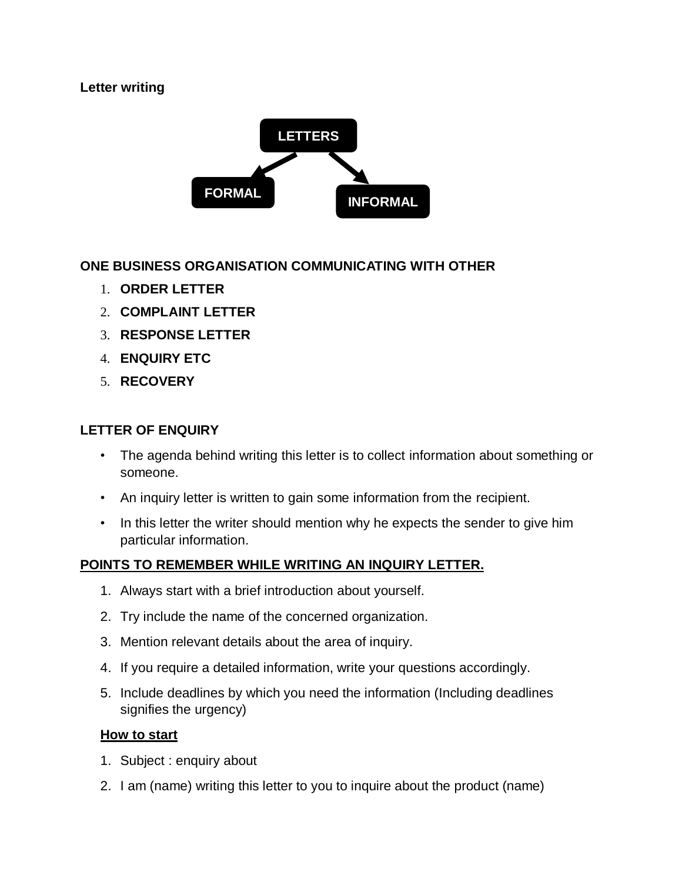# **Letter writing**



**ONE BUSINESS ORGANISATION COMMUNICATING WITH OTHER**

- 1. **ORDER LETTER**
- 2. **COMPLAINT LETTER**
- 3. **RESPONSE LETTER**
- 4. **ENQUIRY ETC**
- 5. **RECOVERY**

#### **LETTER OF ENQUIRY**

- The agenda behind writing this letter is to collect information about something or someone.
- An inquiry letter is written to gain some information from the recipient.
- In this letter the writer should mention why he expects the sender to give him particular information.

# **POINTS TO REMEMBER WHILE WRITING AN INQUIRY LETTER.**

- 1. Always start with a brief introduction about yourself.
- 2. Try include the name of the concerned organization.
- 3. Mention relevant details about the area of inquiry.
- 4. If you require a detailed information, write your questions accordingly.
- 5. Include deadlines by which you need the information (Including deadlines signifies the urgency)

# **How to start**

- 1. Subject : enquiry about
- 2. I am (name) writing this letter to you to inquire about the product (name)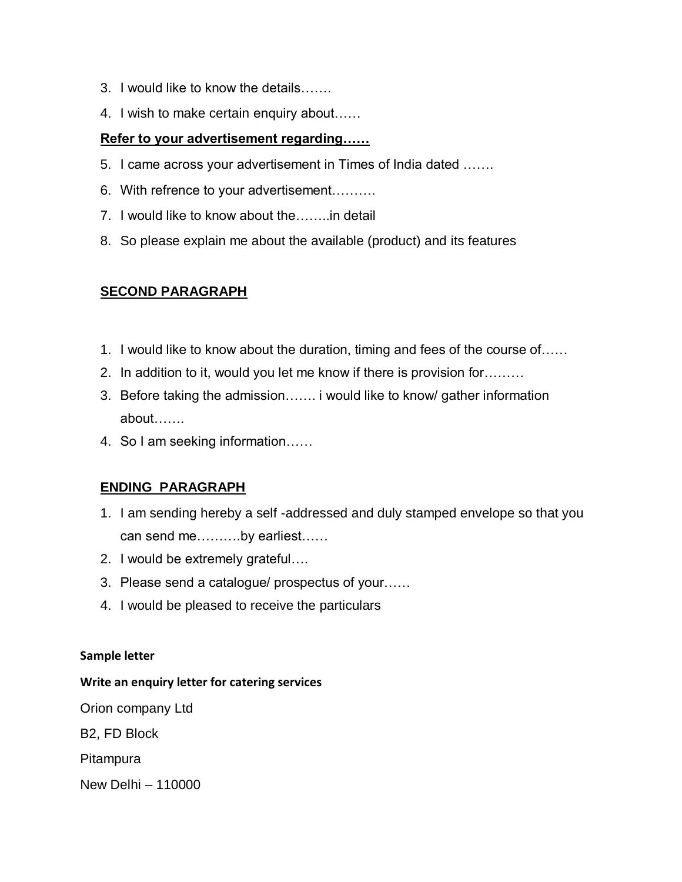- 3. I would like to know the details…….
- 4. I wish to make certain enquiry about……

### **Refer to your advertisement regarding……**

- 5. I came across your advertisement in Times of India dated …….
- 6. With refrence to your advertisement……….
- 7. I would like to know about the……..in detail
- 8. So please explain me about the available (product) and its features

#### **SECOND PARAGRAPH**

- 1. I would like to know about the duration, timing and fees of the course of……
- 2. In addition to it, would you let me know if there is provision for………
- 3. Before taking the admission……. i would like to know/ gather information about…….
- 4. So I am seeking information……

# **ENDING PARAGRAPH**

- 1. I am sending hereby a self -addressed and duly stamped envelope so that you can send me……….by earliest……
- 2. I would be extremely grateful….
- 3. Please send a catalogue/ prospectus of your……
- 4. I would be pleased to receive the particulars

#### **Sample letter**

#### **Write an enquiry letter for catering services**

Orion company Ltd

B2, FD Block

Pitampura

New Delhi – 110000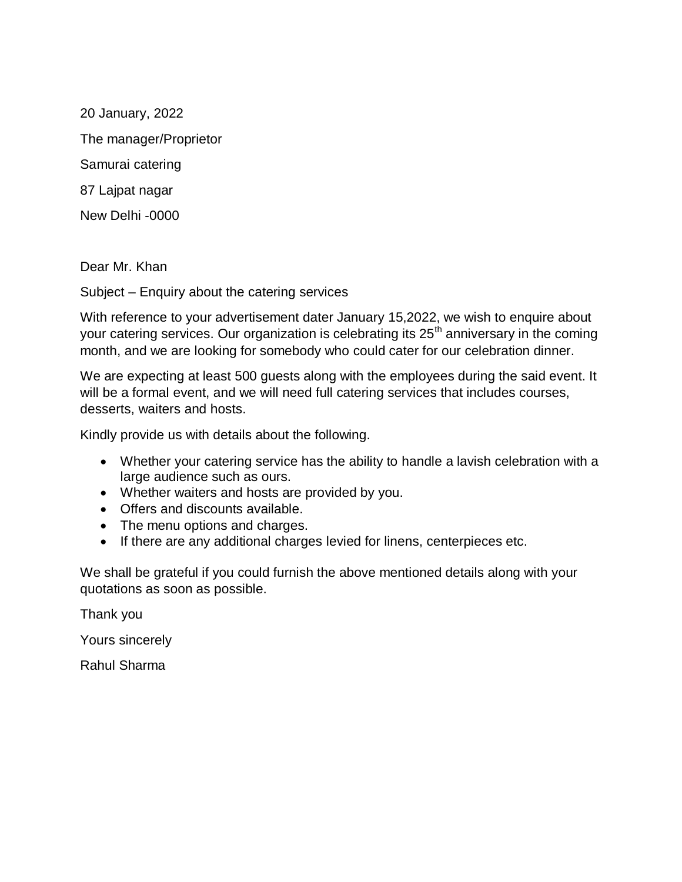20 January, 2022 The manager/Proprietor Samurai catering 87 Lajpat nagar New Delhi -0000

Dear Mr. Khan

Subject – Enquiry about the catering services

With reference to your advertisement dater January 15,2022, we wish to enquire about your catering services. Our organization is celebrating its  $25<sup>th</sup>$  anniversary in the coming month, and we are looking for somebody who could cater for our celebration dinner.

We are expecting at least 500 guests along with the employees during the said event. It will be a formal event, and we will need full catering services that includes courses, desserts, waiters and hosts.

Kindly provide us with details about the following.

- Whether your catering service has the ability to handle a lavish celebration with a large audience such as ours.
- Whether waiters and hosts are provided by you.
- Offers and discounts available.
- The menu options and charges.
- If there are any additional charges levied for linens, centerpieces etc.

We shall be grateful if you could furnish the above mentioned details along with your quotations as soon as possible.

Thank you

Yours sincerely

Rahul Sharma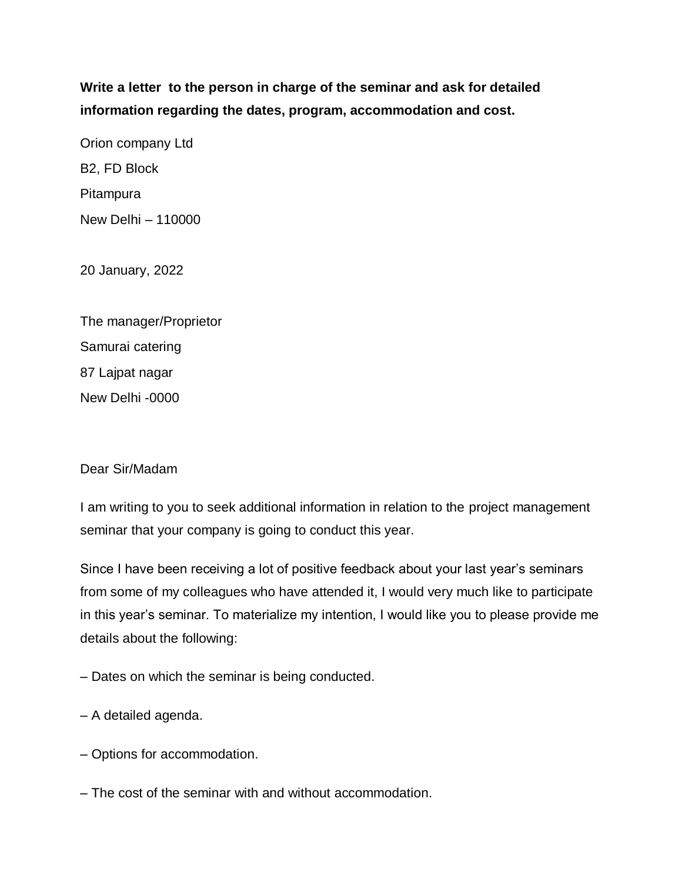# **Write a letter to the person in charge of the seminar and ask for detailed information regarding the dates, program, accommodation and cost.**

Orion company Ltd B2, FD Block Pitampura New Delhi – 110000

20 January, 2022

The manager/Proprietor Samurai catering 87 Lajpat nagar New Delhi -0000

#### Dear Sir/Madam

I am writing to you to seek additional information in relation to the project management seminar that your company is going to conduct this year.

Since I have been receiving a lot of positive feedback about your last year's seminars from some of my colleagues who have attended it, I would very much like to participate in this year's seminar. To materialize my intention, I would like you to please provide me details about the following:

– Dates on which the seminar is being conducted.

– A detailed agenda.

– Options for accommodation.

– The cost of the seminar with and without accommodation.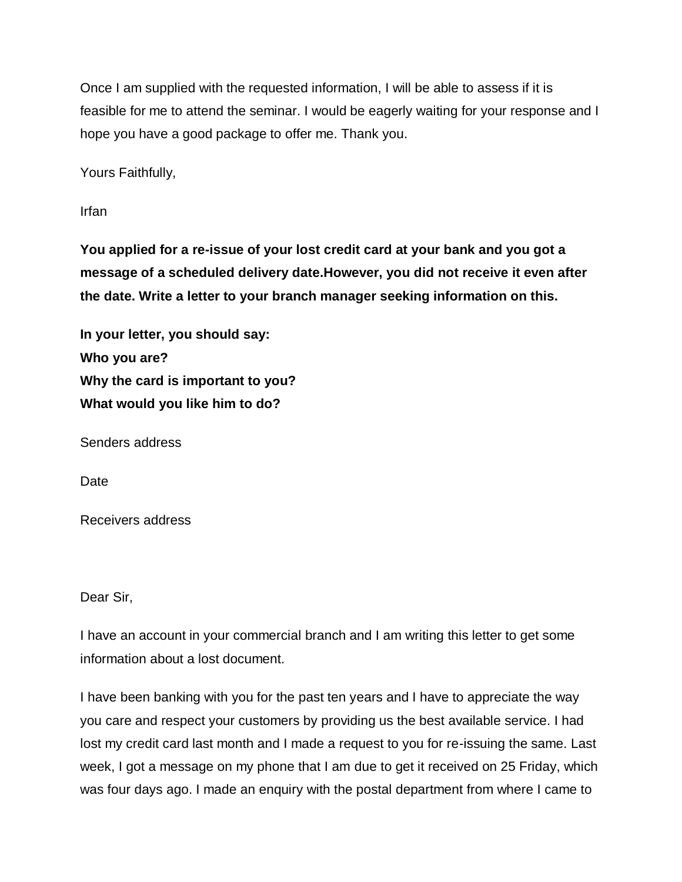Once I am supplied with the requested information, I will be able to assess if it is feasible for me to attend the seminar. I would be eagerly waiting for your response and I hope you have a good package to offer me. Thank you.

Yours Faithfully,

Irfan

**You applied for a re-issue of your lost credit card at your bank and you got a message of a scheduled delivery date.However, you did not receive it even after the date. Write a letter to your branch manager seeking information on this.**

**In your letter, you should say: Who you are? Why the card is important to you? What would you like him to do?**

Senders address

Date

Receivers address

Dear Sir,

I have an account in your commercial branch and I am writing this letter to get some information about a lost document.

I have been banking with you for the past ten years and I have to appreciate the way you care and respect your customers by providing us the best available service. I had lost my credit card last month and I made a request to you for re-issuing the same. Last week, I got a message on my phone that I am due to get it received on 25 Friday, which was four days ago. I made an enquiry with the postal department from where I came to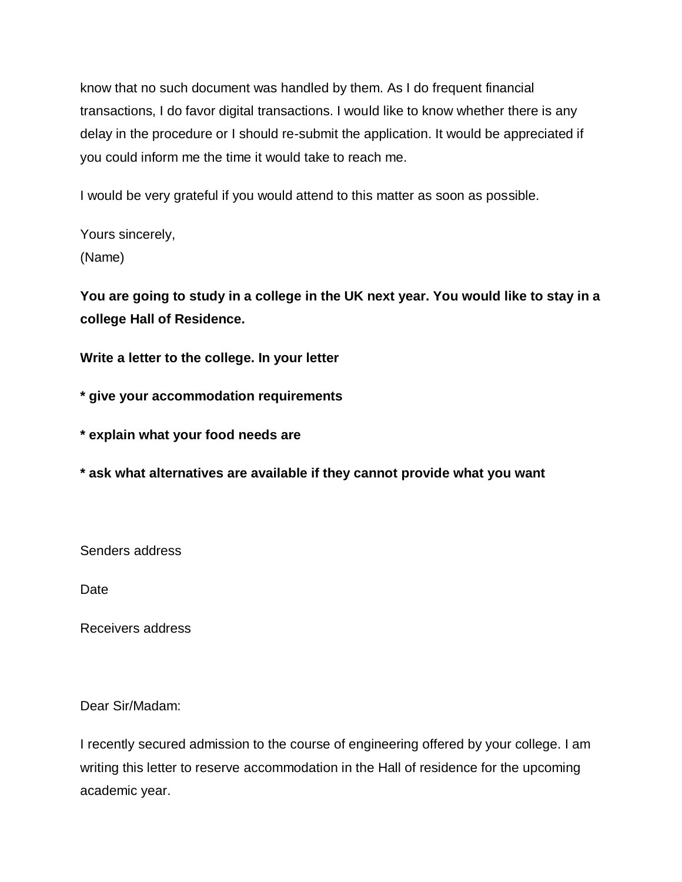know that no such document was handled by them. As I do frequent financial transactions, I do favor digital transactions. I would like to know whether there is any delay in the procedure or I should re-submit the application. It would be appreciated if you could inform me the time it would take to reach me.

I would be very grateful if you would attend to this matter as soon as possible.

Yours sincerely, (Name)

**You are going to study in a college in the UK next year. You would like to stay in a college Hall of Residence.**

**Write a letter to the college. In your letter**

**\* give your accommodation requirements**

**\* explain what your food needs are**

**\* ask what alternatives are available if they cannot provide what you want**

Senders address

Date

Receivers address

Dear Sir/Madam:

I recently secured admission to the course of engineering offered by your college. I am writing this letter to reserve accommodation in the Hall of residence for the upcoming academic year.